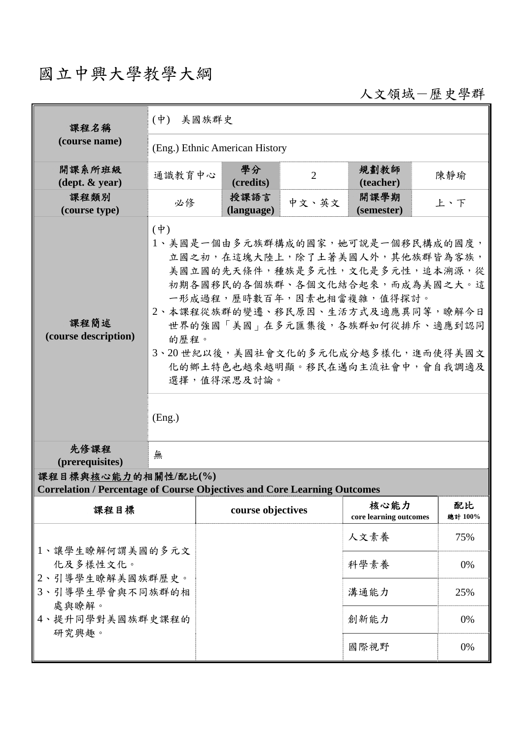## 國立中興大學教學大綱

人文領域-歷史學群

| 課程名稱                                                                                                   | (中) 美國族群史                                                                                                                                                                                                                                                                                                                                                     |                    |                |                                |               |  |  |  |
|--------------------------------------------------------------------------------------------------------|---------------------------------------------------------------------------------------------------------------------------------------------------------------------------------------------------------------------------------------------------------------------------------------------------------------------------------------------------------------|--------------------|----------------|--------------------------------|---------------|--|--|--|
| (course name)                                                                                          | (Eng.) Ethnic American History                                                                                                                                                                                                                                                                                                                                |                    |                |                                |               |  |  |  |
| 開課系所班級<br>$(\text{dept.} \& \text{ year})$                                                             | 通識教育中心                                                                                                                                                                                                                                                                                                                                                        | 學分<br>(credits)    | $\overline{2}$ | 規劃教師<br>(teacher)              | 陳靜瑜           |  |  |  |
| 課程類別<br>(course type)                                                                                  | 必修                                                                                                                                                                                                                                                                                                                                                            | 授課語言<br>(language) | 中文、英文          | 開課學期<br>(semester)             | 上、下           |  |  |  |
| 課程簡述<br>(course description)                                                                           | $(\phi)$<br>1、美國是一個由多元族群構成的國家,她可說是一個移民構成的國度,<br>立國之初,在這塊大陸上,除了土著美國人外,其他族群皆為客族,<br>美國立國的先天條件,種族是多元性,文化是多元性,追本溯源,從<br>初期各國移民的各個族群、各個文化結合起來,而成為美國之大。這<br>一形成過程,歷時數百年,因素也相當複雜,值得探討。<br>2、本課程從族群的變遷、移民原因、生活方式及適應異同等,瞭解今日<br>世界的強國「美國」在多元匯集後,各族群如何從排斥、適應到認同<br>的歷程。<br>3、20世紀以後,美國社會文化的多元化成分越多樣化,進而使得美國文<br>化的鄉土特色也越來越明顯。移民在邁向主流社會中,會自我調適及<br>選擇,值得深思及討論。<br>(Eng.) |                    |                |                                |               |  |  |  |
| 先修課程<br>(prerequisites)                                                                                | 無                                                                                                                                                                                                                                                                                                                                                             |                    |                |                                |               |  |  |  |
| 課程目標與核心能力的相關性/配比(%)<br><b>Correlation / Percentage of Course Objectives and Core Learning Outcomes</b> |                                                                                                                                                                                                                                                                                                                                                               |                    |                |                                |               |  |  |  |
| 課程目標                                                                                                   |                                                                                                                                                                                                                                                                                                                                                               | course objectives  |                | 核心能力<br>core learning outcomes | 配比<br>總計 100% |  |  |  |
| 1、讓學生瞭解何謂美國的多元文<br>化及多樣性文化。<br>2、引導學生瞭解美國族群歷史。<br>3、引導學生學會與不同族群的相<br>處與瞭解。<br>4、提升同學對美國族群史課程的<br>研究興趣。 |                                                                                                                                                                                                                                                                                                                                                               |                    |                | 人文素養                           | 75%           |  |  |  |
|                                                                                                        |                                                                                                                                                                                                                                                                                                                                                               |                    |                | 科學素養                           | 0%            |  |  |  |
|                                                                                                        |                                                                                                                                                                                                                                                                                                                                                               |                    |                | 溝通能力                           | 25%           |  |  |  |
|                                                                                                        |                                                                                                                                                                                                                                                                                                                                                               |                    |                | 創新能力                           | 0%            |  |  |  |
|                                                                                                        |                                                                                                                                                                                                                                                                                                                                                               |                    |                | 國際視野                           | 0%            |  |  |  |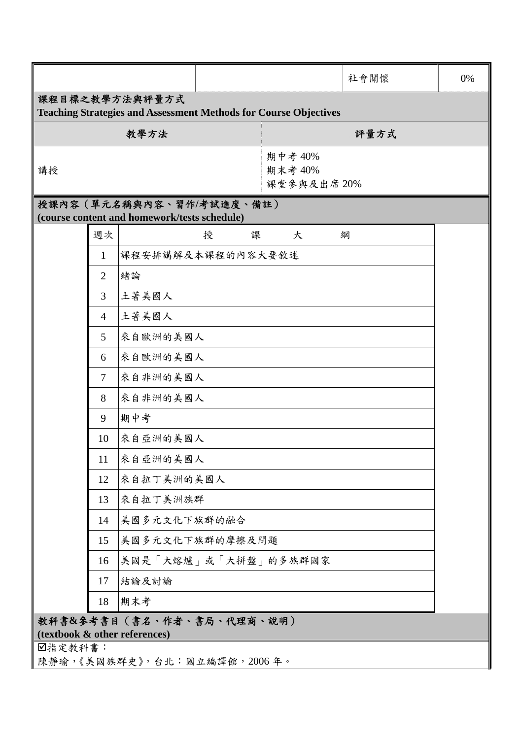|                                                                                           |                |                      |        |                                   | 社會關懷 | 0% |  |  |  |  |
|-------------------------------------------------------------------------------------------|----------------|----------------------|--------|-----------------------------------|------|----|--|--|--|--|
| 課程目標之教學方法與評量方式<br><b>Teaching Strategies and Assessment Methods for Course Objectives</b> |                |                      |        |                                   |      |    |  |  |  |  |
|                                                                                           |                | 教學方法                 |        |                                   | 評量方式 |    |  |  |  |  |
| 講授                                                                                        |                |                      |        | 期中考 40%<br>期末考 40%<br>課堂參與及出席 20% |      |    |  |  |  |  |
| 授課內容 (單元名稱與內容、習作/考試進度、備註)<br>(course content and homework/tests schedule)                 |                |                      |        |                                   |      |    |  |  |  |  |
|                                                                                           | 週次             |                      | 課<br>授 | 大                                 | 綱    |    |  |  |  |  |
|                                                                                           | 1              | 課程安排講解及本課程的內容大要敘述    |        |                                   |      |    |  |  |  |  |
|                                                                                           | 2              | 緒論                   |        |                                   |      |    |  |  |  |  |
|                                                                                           | 3              | 土著美國人                |        |                                   |      |    |  |  |  |  |
|                                                                                           | $\overline{4}$ | 土著美國人                |        |                                   |      |    |  |  |  |  |
|                                                                                           | 5              | 來自歐洲的美國人             |        |                                   |      |    |  |  |  |  |
|                                                                                           | 6              | 來自歐洲的美國人             |        |                                   |      |    |  |  |  |  |
|                                                                                           | 7              | 來自非洲的美國人             |        |                                   |      |    |  |  |  |  |
|                                                                                           | 8              | 來自非洲的美國人             |        |                                   |      |    |  |  |  |  |
|                                                                                           | 9              | 期中考                  |        |                                   |      |    |  |  |  |  |
|                                                                                           | 10             | 來自亞洲的美國人             |        |                                   |      |    |  |  |  |  |
|                                                                                           | 11             | 來自亞洲的美國人             |        |                                   |      |    |  |  |  |  |
|                                                                                           | 12             | 來自拉丁美洲的美國人           |        |                                   |      |    |  |  |  |  |
|                                                                                           | 13             | 來自拉丁美洲族群             |        |                                   |      |    |  |  |  |  |
|                                                                                           | 14             | 美國多元文化下族群的融合         |        |                                   |      |    |  |  |  |  |
|                                                                                           | 15             | 美國多元文化下族群的摩擦及問題      |        |                                   |      |    |  |  |  |  |
|                                                                                           | 16             | 美國是「大熔爐」或「大拼盤」的多族群國家 |        |                                   |      |    |  |  |  |  |
|                                                                                           | 17             | 結論及討論                |        |                                   |      |    |  |  |  |  |
|                                                                                           | 18             | 期末考                  |        |                                   |      |    |  |  |  |  |
| 教科書&參考書目(書名、作者、書局、代理商、說明)<br>(textbook & other references)                                |                |                      |        |                                   |      |    |  |  |  |  |
|                                                                                           | ■指定教科書:        |                      |        |                                   |      |    |  |  |  |  |
| 陳靜瑜,《美國族群史》,台北:國立編譯館,2006年。                                                               |                |                      |        |                                   |      |    |  |  |  |  |